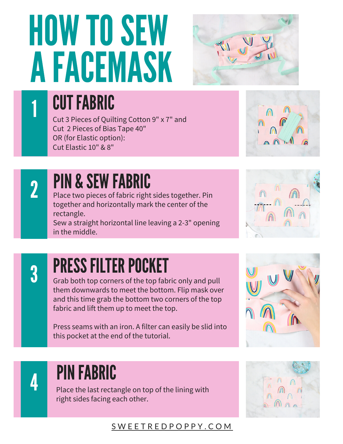# **HOW TO SEW** AFACEMASK



 $\overline{1}$ 

## **CUT FABRIC**

Cut 3 Pieces of Quilting Cotton 9" x 7" and Cut 2 Pieces of Bias Tape 40" OR (for Elastic option): Cut Elastic 10" & 8"



2

## PIN & SEW FABRIC

Place two pieces of fabric right sides together. Pin together and horizontally mark the center of the rectangle.

Sew a straight horizontal line leaving a 2-3" opening in the middle.



3

## PRESS FILTER POCKET

Grab both top corners of the top fabric only and pull them downwards to meet the bottom. Flip mask over and this time grab the bottom two corners of the top fabric and lift them up to meet the top.

Press seams with an iron. A filter can easily be slid into this pocket at the end of the tutorial.



## **PIN FABRIC**

Place the last rectangle on top of the lining with **PIN FABRIC<br>Place the last rectangle on top<br>right sides facing each other.** 



#### S W [EE](http://sweetredpoppy.com/) T R E D P O P P Y . C O M